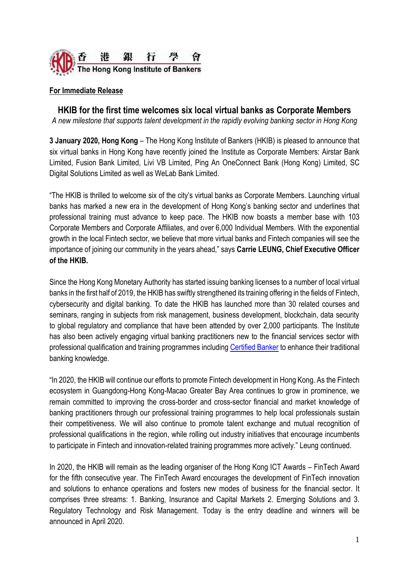

## **For Immediate Release**

**HKIB for the first time welcomes six local virtual banks as Corporate Members**

*A new milestone that supports talent development in the rapidly evolving banking sector in Hong Kong*

**3 January 2020, Hong Kong** – The Hong Kong Institute of Bankers (HKIB) is pleased to announce that six virtual banks in Hong Kong have recently joined the Institute as Corporate Members: Airstar Bank Limited, Fusion Bank Limited, Livi VB Limited, Ping An OneConnect Bank (Hong Kong) Limited, SC Digital Solutions Limited as well as WeLab Bank Limited.

"The HKIB is thrilled to welcome six of the city's virtual banks as Corporate Members. Launching virtual banks has marked a new era in the development of Hong Kong's banking sector and underlines that professional training must advance to keep pace. The HKIB now boasts a member base with 103 Corporate Members and Corporate Affiliates, and over 6,000 Individual Members. With the exponential growth in the local Fintech sector, we believe that more virtual banks and Fintech companies will see the importance of joining our community in the years ahead," says **Carrie LEUNG, Chief Executive Officer of the HKIB.**

Since the Hong Kong Monetary Authority has started issuing banking licenses to a number of local virtual banks in the first half of 2019, the HKIB has swiftly strengthened its training offering in the fields of Fintech, cybersecurity and digital banking. To date the HKIB has launched more than 30 related courses and seminars, ranging in subjects from risk management, business development, blockchain, data security to global regulatory and compliance that have been attended by over 2,000 participants. The Institute has also been actively engaging virtual banking practitioners new to the financial services sector with professional qualification and training programmes including [Certified Banker](https://www.hkib.org/page/73) to enhance their traditional banking knowledge.

"In 2020, the HKIB will continue our efforts to promote Fintech development in Hong Kong. As the Fintech ecosystem in Guangdong-Hong Kong-Macao Greater Bay Area continues to grow in prominence, we remain committed to improving the cross-border and cross-sector financial and market knowledge of banking practitioners through our professional training programmes to help local professionals sustain their competitiveness. We will also continue to promote talent exchange and mutual recognition of professional qualifications in the region, while rolling out industry initiatives that encourage incumbents to participate in Fintech and innovation-related training programmes more actively." Leung continued.

In 2020, the HKIB will remain as the leading organiser of the Hong Kong ICT Awards – FinTech Award for the fifth consecutive year. The FinTech Award encourages the development of FinTech innovation and solutions to enhance operations and fosters new modes of business for the financial sector. It comprises three streams: 1. Banking, Insurance and Capital Markets 2. Emerging Solutions and 3. Regulatory Technology and Risk Management. Today is the entry deadline and winners will be announced in April 2020.